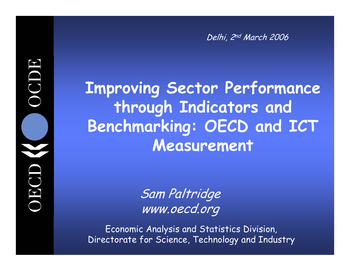Delhi, 2nd March 2006

### **Improving Sector Performance through Indicators and Benchmarking: OECD and ICT Measurement**

Sam Paltridge www.oecd.org

Economic Analysis and Statistics Division, Directorate for Science, Technology and Industry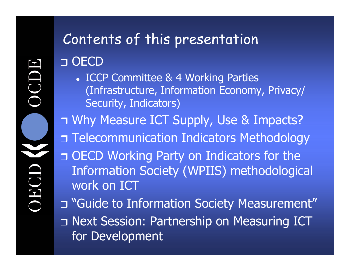## Contents of this presentation

□ OECD

• ICCP Committee & 4 Working Parties (Infrastructure, Information Economy, Privacy/ Security, Indicators)

Why Measure ICT Supply, Use & Impacts?

Telecommunication Indicators Methodology

 OECD Working Party on Indicators for the Information Society (WPIIS) methodological work on ICT

 "Guide to Information Society Measurement" Next Session: Partnership on Measuring ICT for Development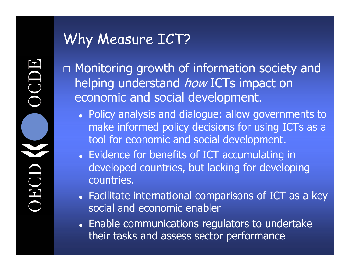### Why Measure ICT?

 Monitoring growth of information society and helping understand how ICTs impact on economic and social development.

- Policy analysis and dialogue: allow governments to make informed policy decisions for using ICTs as a tool for economic and social development.
- Evidence for benefits of ICT accumulating in developed countries, but lacking for developing countries.
- Facilitate international comparisons of ICT as a key social and economic enabler
- Enable communications regulators to undertake their tasks and assess sector performance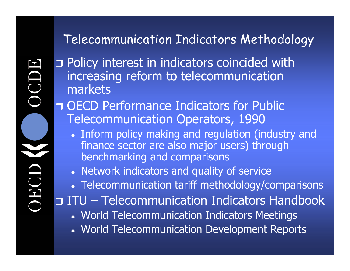### Telecommunication Indicators Methodology

**n** Policy interest in indicators coincided with increasing reform to telecommunication markets

 OECD Performance Indicators for Public Telecommunication Operators, 1990

• Inform policy making and regulation (industry and finance sector are also major users) through benchmarking and comparisons

• Network indicators and quality of service

• Telecommunication tariff methodology/comparisons

□ ITU – Telecommunication Indicators Handbook

- World Telecommunication Indicators Meetings
- World Telecommunication Development Reports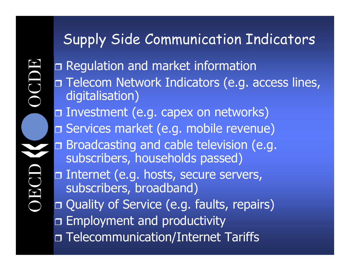### Supply Side Communication Indicators

 Regulation and market information **n Telecom Network Indicators (e.g. access lines,** digitalisation) Investment (e.g. capex on networks) Services market (e.g. mobile revenue) Broadcasting and cable television (e.g. subscribers, households passed) Internet (e.g. hosts, secure servers, subscribers, broadband) Quality of Service (e.g. faults, repairs) Employment and productivity Telecommunication/Internet Tariffs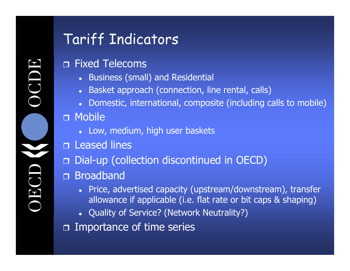### Tariff Indicators

#### Fixed Telecoms

- Business (small) and Residential
- c Basket approach (connection, line rental, calls)
- c Domestic, international, composite (including calls to mobile)

#### Mobile

- Low, medium, high user baskets
- Leased lines
- Dial-up (collection discontinued in OECD)
- Broadband
	- c Price, advertised capacity (upstream/downstream), transfer allowance if applicable (i.e. flat rate or bit caps & shaping)
	- Quality of Service? (Network Neutrality?)
- □ Importance of time series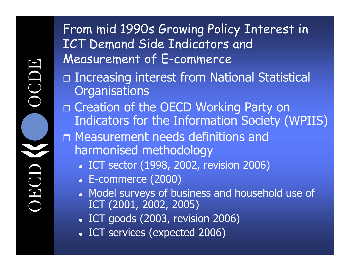From mid 1990s Growing Policy Interest in ICT Demand Side Indicators and Measurement of E-commerce

- □ Increasing interest from National Statistical **Organisations**
- □ Creation of the OECD Working Party on Indicators for the Information Society (WPIIS)
- Measurement needs definitions and harmonised methodology
	- ICT sector (1998, 2002, revision 2006)
	- $\bullet~$  E-commerce (2000)
	- Model surveys of business and household use of ICT (2001, 2002, 2005)
	- $\bullet$  ICT goods (2003, revision 2006)
	- ICT services (expected 2006)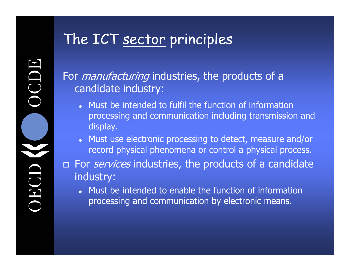### The ICT sector principles

For *manufacturing* industries, the products of a candidate industry:

- Must be intended to fulfil the function of information processing and communication including transmission and display.
- Must use electronic processing to detect, measure and/or record physical phenomena or control a physical process.
- **n** For *services* industries, the products of a candidate industry:
	- c Must be intended to enable the function of information processing and communication by electronic means.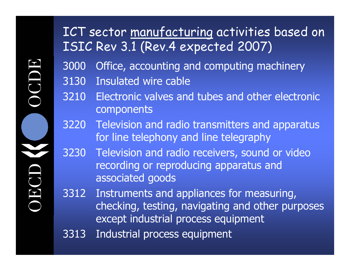### ICT sector manufacturing activities based on ISIC Rev 3.1 (Rev.4 expected 2007)

- 3000 Office, accounting and computing machinery
- 3130 Insulated wire cable
- 3210 Electronic valves and tubes and other electronic components
- 3220 Television and radio transmitters and apparatus for line telephony and line telegraphy
- 3230 Television and radio receivers, sound or video recording or reproducing apparatus and associated goods
- 3312 Instruments and appliances for measuring, checking, testing, navigating and other purposes except industrial process equipment
- 3313 Industrial process equipment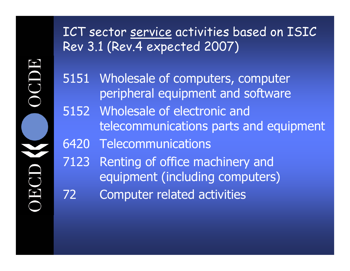ICT sector service activities based on ISIC Rev 3.1 (Rev.4 expected 2007)

5151 Wholesale of computers, computer peripheral equipment and software

5152 Wholesale of electronic and telecommunications parts and equipment

6420 Telecommunications

7123 Renting of office machinery and equipment (including computers)

72 Computer related activities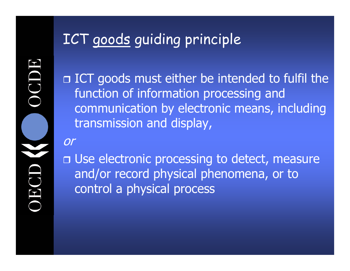### ICT goods guiding principle

 ICT goods must either be intended to fulfil the function of information processing and communication by electronic means, including transmission and display,

or

 Use electronic processing to detect, measure and/or record physical phenomena, or to control a physical process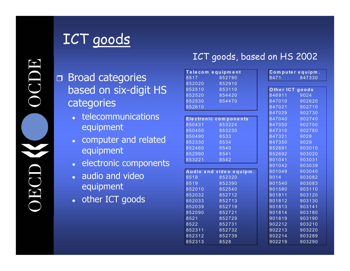### ICT goods

#### Broad categories based on six-digit HS categories

- telecommunications equipment
- $\bullet$  computer and related equipment
- electronic components
- audio and video equipment
- other ICT goods

#### ICT goods, based on HS 2002

| Telecom equipment |                         | Computer equipm. |        |
|-------------------|-------------------------|------------------|--------|
| 8517              | 852790                  | 8471             | 847330 |
| 852020            | 852910                  |                  |        |
| 852510            | 853110                  | Other ICT goods  |        |
| 852520            | 854420                  | 846911           | 9024   |
| 852530            | 854470                  | 847010           | 902620 |
| 852610            |                         | 847021           | 902710 |
|                   |                         | 847029           | 902730 |
|                   | Electronic components   | 847040           | 902740 |
| 850431            | 853224                  | 847050           | 902750 |
| 850450            | 853230                  | 847310           | 902780 |
| 850490            | 8533                    | 847321           | 9028   |
| 852330            | 8534                    | 847350           | 9029   |
| 852460            | 8540                    | 852691           | 903010 |
| 852990            | 8541                    | 852692           | 903020 |
| 853221            | 8542                    | 901041           | 903031 |
|                   |                         | 901042           | 903039 |
|                   | Audio and video equipm. | 901049           | 903040 |
| 8518              | 852320                  | 9014             | 903082 |
| 8519              | 852390                  | 901540           | 903083 |
| 852010            | 852540                  | 901580           | 903110 |
| 852032            | 852712                  | 901811           | 903120 |
| 852033            | 852713                  | 901812           | 903130 |
| 852039            | 852719                  | 901813           | 903141 |
| 852090            | 852721                  | 901814           | 903180 |
| 8521              | 852729                  | 901819           | 903190 |
| 8522              | 852731                  | 902212           | 903210 |
| 852311            | 852732                  | 902213           | 903220 |
| 852312            | 852739                  | 902214           | 903289 |
| 852313            | 8528                    | 902219           | 903290 |

| n <sub>t</sub> | Computer equipm. |        |  |
|----------------|------------------|--------|--|
| 0              | 8471             | 847330 |  |
| 0              |                  |        |  |
| 0              | Other ICT goods  |        |  |
| 0              | 846911           | 9024   |  |
| 0              | 847010           | 902620 |  |
|                | 847021           | 902710 |  |
|                | 847029           | 902730 |  |
| n e n ts       | 847040           | 902740 |  |
| 4              | 847050           | 902750 |  |
| 0              | 847310           | 902780 |  |
|                | 847321           | 9028   |  |
|                | 847350           | 9029   |  |
|                | 852691           | 903010 |  |
|                | 852692           | 903020 |  |
|                | 901041           | 903031 |  |
|                | 901042           | 903039 |  |
| quipm.         | 901049           | 903040 |  |
| 0              | 9014             | 903082 |  |
| 0              | 901540           | 903083 |  |
| 0              | 901580           | 903110 |  |
| $\overline{c}$ | 901811           | 903120 |  |
| 3              | 901812           | 903130 |  |
| 9              | 901813           | 903141 |  |
| 1              | 901814           | 903180 |  |
| 9              | 901819           | 903190 |  |
| 1              | 902212           | 903210 |  |
| $\overline{2}$ | 902213           | 903220 |  |
| 9              | 902214           | 903289 |  |
|                | 902219           | 903290 |  |
|                |                  |        |  |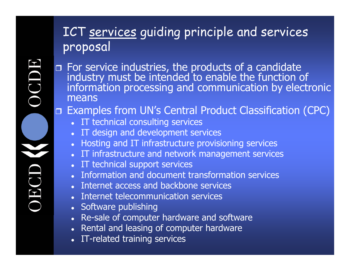### ICT services guiding principle and services proposal

For service industries, the products of a candidate industry must be intended to enable the function of<br>information processing and communication by electronic means

#### Examples from UN's Central Product Classification (CPC)

- IT technical consulting services
- IT design and development services
- c Hosting and IT infrastructure provisioning services
- IT infrastructure and network management services
- c IT technical support services
- Information and document transformation services
- Internet access and backbone services
- zInternet telecommunication services
- Software publishing
- Re-sale of computer hardware and software
- Rental and leasing of computer hardware
- IT-related training services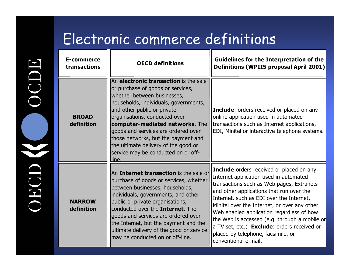### Electronic commerce definitions

| E-commerce<br>transactions  | <b>OECD definitions</b>                                                                                                                                                                                                                                                                                                                                                                                                     | <b>Guidelines for the Interpretation of the</b><br><b>Definitions (WPIIS proposal April 2001)</b>                                                                                                                                                                                                                                                                                                                                                                                   |
|-----------------------------|-----------------------------------------------------------------------------------------------------------------------------------------------------------------------------------------------------------------------------------------------------------------------------------------------------------------------------------------------------------------------------------------------------------------------------|-------------------------------------------------------------------------------------------------------------------------------------------------------------------------------------------------------------------------------------------------------------------------------------------------------------------------------------------------------------------------------------------------------------------------------------------------------------------------------------|
| <b>BROAD</b><br>definition  | An electronic transaction is the sale<br>or purchase of goods or services,<br>whether between businesses,<br>households, individuals, governments,<br>and other public or private<br>organisations, conducted over<br>computer-mediated networks. The<br>goods and services are ordered over<br>those networks, but the payment and<br>the ultimate delivery of the good or<br>service may be conducted on or off-<br>line. | <b>Include:</b> orders received or placed on any<br>online application used in automated<br>transactions such as Internet applications,<br>EDI, Minitel or interactive telephone systems.                                                                                                                                                                                                                                                                                           |
| <b>NARROW</b><br>definition | An Internet transaction is the sale or<br>purchase of goods or services, whether<br>between businesses, households,<br>individuals, governments, and other<br>public or private organisations,<br>conducted over the Internet. The<br>goods and services are ordered over<br>the Internet, but the payment and the<br>ultimate delivery of the good or service<br>may be conducted on or off-line.                          | Include: orders received or placed on any<br>Internet application used in automated<br>transactions such as Web pages, Extranets<br>and other applications that run over the<br>Internet, such as EDI over the Internet,<br>Minitel over the Internet, or over any other<br>Web enabled application regardless of how<br>the Web is accessed (e.g. through a mobile or<br>a TV set, etc.) Exclude: orders received or<br>placed by telephone, facsimile, or<br>conventional e-mail. |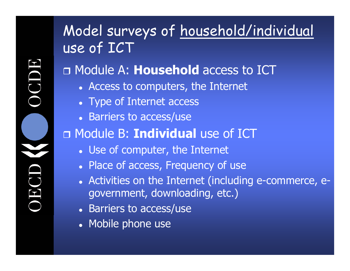### Model surveys of household/individual use of ICT Module A: **Household** access to ICT • Access to computers, the Internet • Type of Internet access • Barriers to access/use Module B: **Individual** use of ICT • Use of computer, the Internet • Place of access, Frequency of use • Activities on the Internet (including e-commerce, egovernment, downloading, etc.)

- Barriers to access/use
- Mobile phone use

J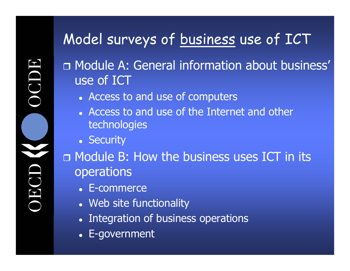### Model surveys of business use of ICT

 Module A: General information about business' use of ICT

- Access to and use of computers
- Access to and use of the Internet and other technologies
- Security

 Module B: How the business uses ICT in its operations

- E-commerce
- Web site functionality
- Integration of business operations
- E-government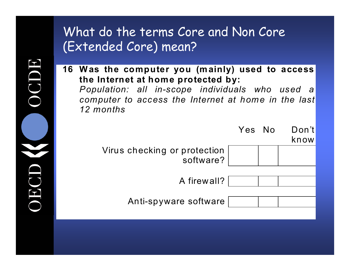#### What do the terms Core and Non Core (Extended Core) mean?

**16 Was the computer you (mainly) used to access the Internet at home protected by:**  *Population: all in-scope individuals who used a computer to access the Internet at home in the last 12 months*



IDC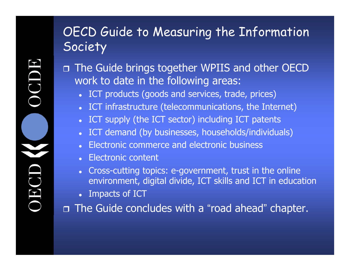### OECD Guide to Measuring the Information Society

 The Guide brings together WPIIS and other OECD work to date in the following areas:

- ICT products (goods and services, trade, prices)
- c ICT infrastructure (telecommunications, the Internet)
- c ICT supply (the ICT sector) including ICT patents
- c ICT demand (by businesses, households/individuals)
- Electronic commerce and electronic business
- Electronic content
- c Cross-cutting topics: e-government, trust in the online environment, digital divide, ICT skills and ICT in education
- Impacts of ICT

 The Guide concludes with a "road ahead " chapter.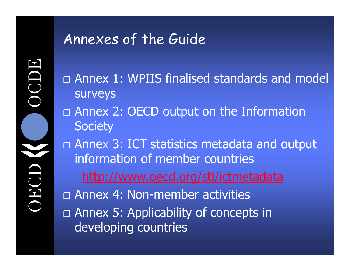### Annexes of the Guide

 Annex 1: WPIIS finalised standards and model surveys

 Annex 2: OECD output on the Information **Society** 

 Annex 3: ICT statistics metadata and output information of member countrieshttp://www.oecd.org/sti/ictmetadata

 Annex 4: Non-member activities Annex 5: Applicability of concepts in developing countries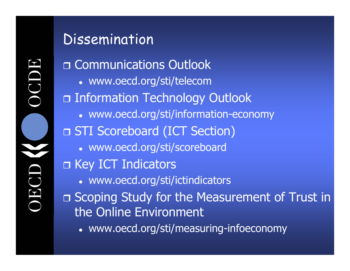### Dissemination

□ Communications Outlook • www.oecd.org/sti/telecom Information Technology Outlook • www.oecd.org/sti/information-economy STI Scoreboard (ICT Section) • www.oecd.org/sti/scoreboard □ Key ICT Indicators • www.oecd.org/sti/ictindicators □ Scoping Study for the Measurement of Trust in the Online Environment

• www.oecd.org/sti/measuring-infoeconomy